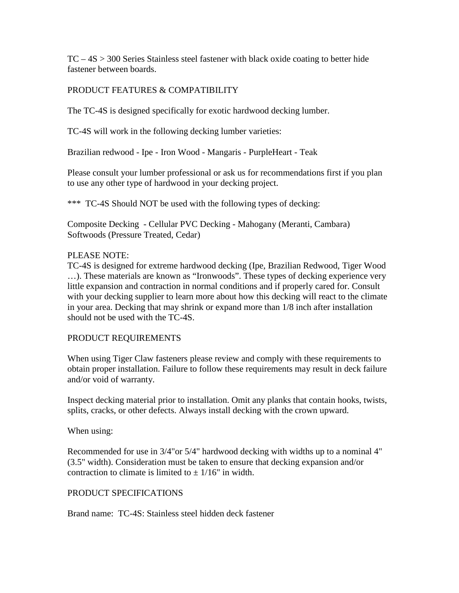TC – 4S > 300 Series Stainless steel fastener with black oxide coating to better hide fastener between boards.

## PRODUCT FEATURES & COMPATIBILITY

The TC-4S is designed specifically for exotic hardwood decking lumber.

TC-4S will work in the following decking lumber varieties:

Brazilian redwood - Ipe - Iron Wood - Mangaris - PurpleHeart - Teak

Please consult your lumber professional or ask us for recommendations first if you plan to use any other type of hardwood in your decking project.

\*\*\* TC-4S Should NOT be used with the following types of decking:

Composite Decking - Cellular PVC Decking - Mahogany (Meranti, Cambara) Softwoods (Pressure Treated, Cedar)

# PLEASE NOTE:

TC-4S is designed for extreme hardwood decking (Ipe, Brazilian Redwood, Tiger Wood …). These materials are known as "Ironwoods". These types of decking experience very little expansion and contraction in normal conditions and if properly cared for. Consult with your decking supplier to learn more about how this decking will react to the climate in your area. Decking that may shrink or expand more than 1/8 inch after installation should not be used with the TC-4S.

### PRODUCT REQUIREMENTS

When using Tiger Claw fasteners please review and comply with these requirements to obtain proper installation. Failure to follow these requirements may result in deck failure and/or void of warranty.

Inspect decking material prior to installation. Omit any planks that contain hooks, twists, splits, cracks, or other defects. Always install decking with the crown upward.

### When using:

Recommended for use in 3/4"or 5/4" hardwood decking with widths up to a nominal 4" (3.5" width). Consideration must be taken to ensure that decking expansion and/or contraction to climate is limited to  $+1/16$ " in width.

### PRODUCT SPECIFICATIONS

Brand name: TC-4S: Stainless steel hidden deck fastener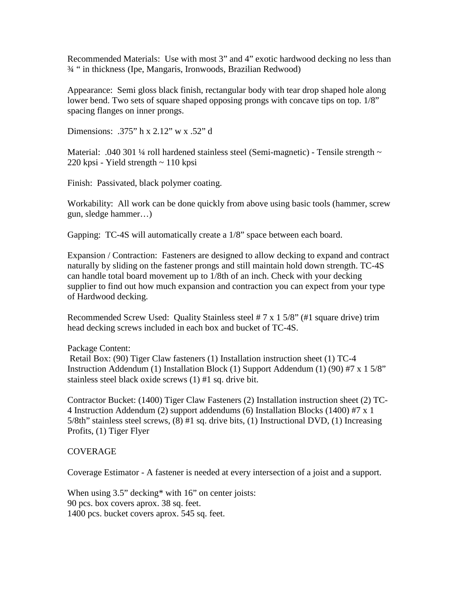Recommended Materials: Use with most 3" and 4" exotic hardwood decking no less than ¾ " in thickness (Ipe, Mangaris, Ironwoods, Brazilian Redwood)

Appearance: Semi gloss black finish, rectangular body with tear drop shaped hole along lower bend. Two sets of square shaped opposing prongs with concave tips on top. 1/8" spacing flanges on inner prongs.

Dimensions: .375" h x 2.12" w x .52" d

Material: .040 301 ¼ roll hardened stainless steel (Semi-magnetic) - Tensile strength ~ 220 kpsi - Yield strength ~ 110 kpsi

Finish: Passivated, black polymer coating.

Workability: All work can be done quickly from above using basic tools (hammer, screw gun, sledge hammer…)

Gapping: TC-4S will automatically create a 1/8" space between each board.

Expansion / Contraction: Fasteners are designed to allow decking to expand and contract naturally by sliding on the fastener prongs and still maintain hold down strength. TC-4S can handle total board movement up to 1/8th of an inch. Check with your decking supplier to find out how much expansion and contraction you can expect from your type of Hardwood decking.

Recommended Screw Used: Quality Stainless steel  $# 7 \times 15/8$ " ( $#1$  square drive) trim head decking screws included in each box and bucket of TC-4S.

#### Package Content:

Retail Box: (90) Tiger Claw fasteners (1) Installation instruction sheet (1) TC-4 Instruction Addendum (1) Installation Block (1) Support Addendum (1) (90) #7 x 1 5/8" stainless steel black oxide screws (1) #1 sq. drive bit.

Contractor Bucket: (1400) Tiger Claw Fasteners (2) Installation instruction sheet (2) TC-4 Instruction Addendum (2) support addendums (6) Installation Blocks (1400) #7 x 1 5/8th" stainless steel screws, (8) #1 sq. drive bits, (1) Instructional DVD, (1) Increasing Profits, (1) Tiger Flyer

#### COVERAGE

Coverage Estimator - A fastener is needed at every intersection of a joist and a support.

When using 3.5" decking\* with 16" on center joists: 90 pcs. box covers aprox. 38 sq. feet. 1400 pcs. bucket covers aprox. 545 sq. feet.